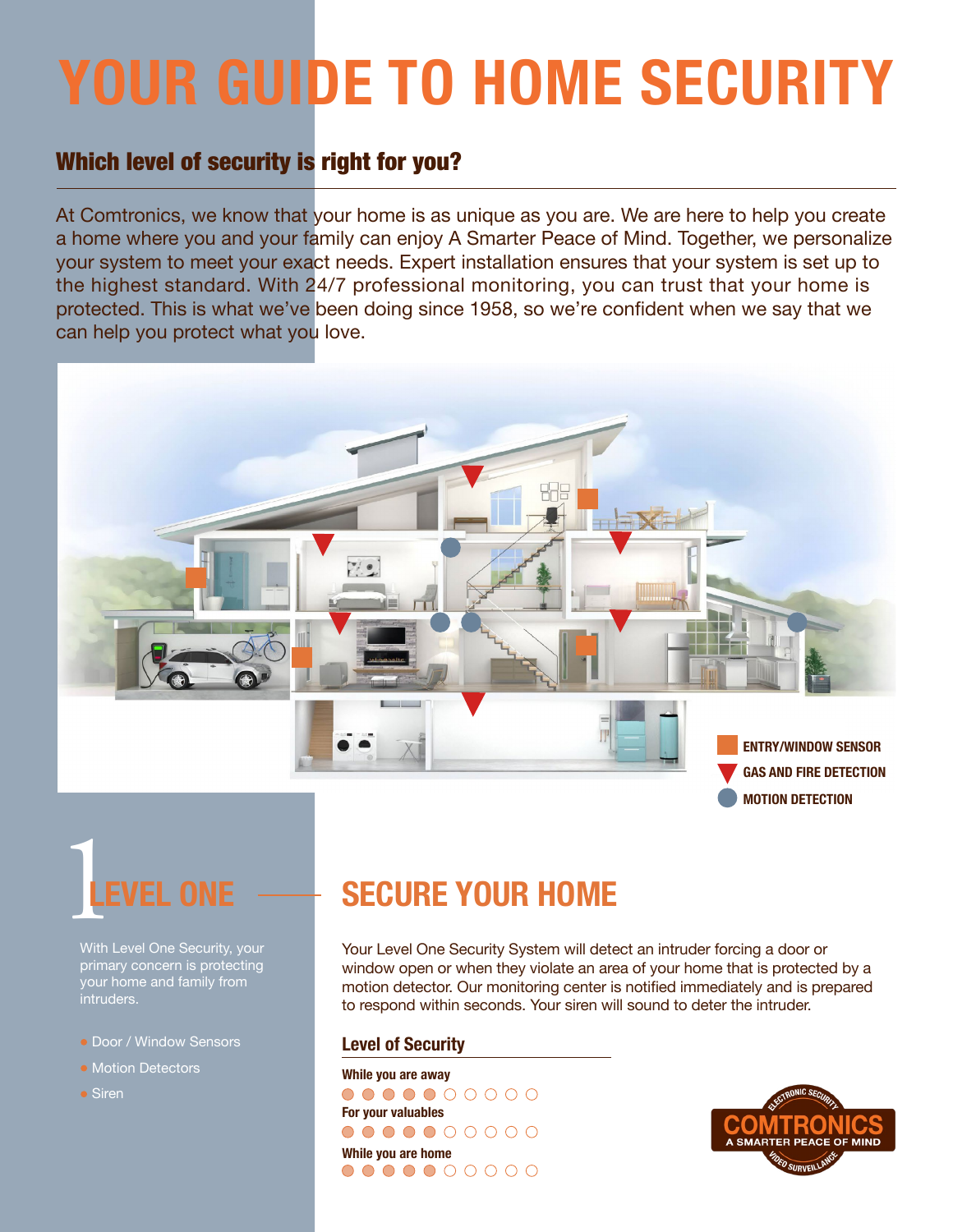# **YOUR GUIDE TO HOME SECURITY**

### Which level of security is right for you?

At Comtronics, we know that your home is as unique as you are. We are here to help you create a home where you and your family can enjoy A Smarter Peace of Mind. Together, we personalize your system to meet your exact needs. Expert installation ensures that your system is set up to the highest standard. With 24/7 professional monitoring, you can trust that your home is protected. This is what we've been doing since 1958, so we're confident when we say that we can help you protect what you love.





With Level One Security, your primary concern is protecting your home and family from intruders.

- Door / Window Sensors
- Motion Detectors
- Siren

## **SECURE YOUR HOME**

Your Level One Security System will detect an intruder forcing a door or window open or when they violate an area of your home that is protected by a motion detector. Our monitoring center is notified immediately and is prepared to respond within seconds. Your siren will sound to deter the intruder.

#### **Level of Security**

**While you are away**  $0000000000$ **For your valuables** 0000000000 **While you are home** 0000000000